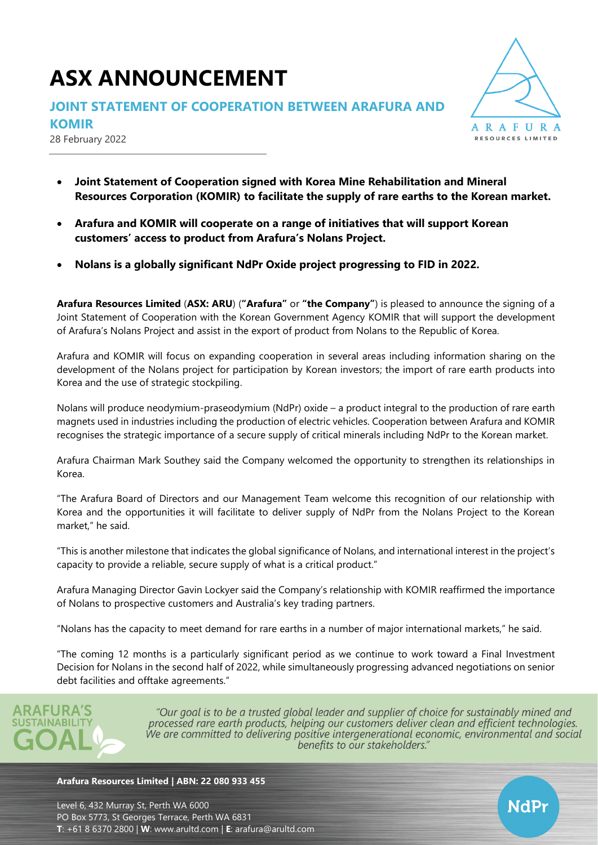# **ASX ANNOUNCEMENT**

### **JOINT STATEMENT OF COOPERATION BETWEEN ARAFURA AND**

**KOMIR**

28 February 2022



- **Joint Statement of Cooperation signed with Korea Mine Rehabilitation and Mineral Resources Corporation (KOMIR) to facilitate the supply of rare earths to the Korean market.**
- **Arafura and KOMIR will cooperate on a range of initiatives that will support Korean customers' access to product from Arafura's Nolans Project.**
- **Nolans is a globally significant NdPr Oxide project progressing to FID in 2022.**

**Arafura Resources Limited** (**ASX: ARU**) (**"Arafura"** or **"the Company"**) is pleased to announce the signing of a Joint Statement of Cooperation with the Korean Government Agency KOMIR that will support the development of Arafura's Nolans Project and assist in the export of product from Nolans to the Republic of Korea.

Arafura and KOMIR will focus on expanding cooperation in several areas including information sharing on the development of the Nolans project for participation by Korean investors; the import of rare earth products into Korea and the use of strategic stockpiling.

Nolans will produce neodymium-praseodymium (NdPr) oxide – a product integral to the production of rare earth magnets used in industries including the production of electric vehicles. Cooperation between Arafura and KOMIR recognises the strategic importance of a secure supply of critical minerals including NdPr to the Korean market.

Arafura Chairman Mark Southey said the Company welcomed the opportunity to strengthen its relationships in Korea.

"The Arafura Board of Directors and our Management Team welcome this recognition of our relationship with Korea and the opportunities it will facilitate to deliver supply of NdPr from the Nolans Project to the Korean market," he said.

"This is another milestone that indicates the global significance of Nolans, and international interest in the project's capacity to provide a reliable, secure supply of what is a critical product."

Arafura Managing Director Gavin Lockyer said the Company's relationship with KOMIR reaffirmed the importance of Nolans to prospective customers and Australia's key trading partners.

"Nolans has the capacity to meet demand for rare earths in a number of major international markets," he said.

"The coming 12 months is a particularly significant period as we continue to work toward a Final Investment Decision for Nolans in the second half of 2022, while simultaneously progressing advanced negotiations on senior debt facilities and offtake agreements."



"Our goal is to be a trusted global leader and supplier of choice for sustainably mined and processed rare earth products, helping our customers deliver clean and efficient technologies. We are committed to delivering positive intergenerational economic, environmental and social benefits to our stakeholders."

#### **Arafura Resources Limited | ABN: 22 080 933 455**

Level 6, 432 Murray St, Perth WA 6000 PO Box 5773, St Georges Terrace, Perth WA 6831 **T**: +61 8 6370 2800 | **W**: [www.arultd.com](http://www.arultd.com/) | **E**: [arafura@arultd.com](mailto:arafura@arultd.com)

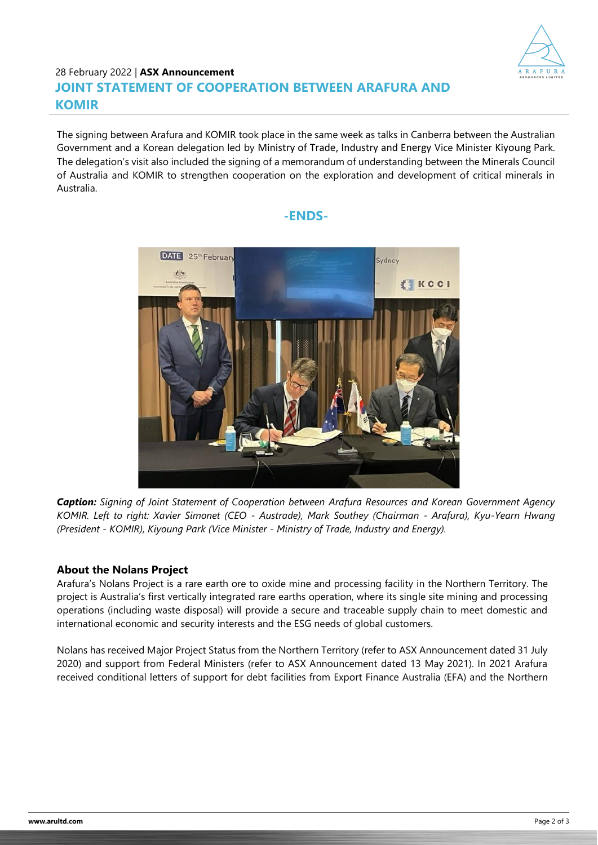

# 28 February 2022 | **ASX Announcement JOINT STATEMENT OF COOPERATION BETWEEN ARAFURA AND KOMIR**

The signing between Arafura and KOMIR took place in the same week as talks in Canberra between the Australian Government and a Korean delegation led by Ministry of Trade, Industry and Energy Vice Minister Kiyoung Park. The delegation's visit also included the signing of a memorandum of understanding between the Minerals Council of Australia and KOMIR to strengthen cooperation on the exploration and development of critical minerals in Australia.

### **-ENDS-**



*Caption: Signing of Joint Statement of Cooperation between Arafura Resources and Korean Government Agency KOMIR. Left to right: Xavier Simonet (CEO - Austrade), Mark Southey (Chairman - Arafura), Kyu-Yearn Hwang (President - KOMIR), Kiyoung Park (Vice Minister - Ministry of Trade, Industry and Energy).*

#### **About the Nolans Project**

Arafura's Nolans Project is a rare earth ore to oxide mine and processing facility in the Northern Territory. The project is Australia's first vertically integrated rare earths operation, where its single site mining and processing operations (including waste disposal) will provide a secure and traceable supply chain to meet domestic and international economic and security interests and the ESG needs of global customers.

Nolans has received Major Project Status from the Northern Territory (refer to ASX Announcement dated 31 July 2020) and support from Federal Ministers (refer to ASX Announcement dated 13 May 2021). In 2021 Arafura received conditional letters of support for debt facilities from Export Finance Australia (EFA) and the Northern